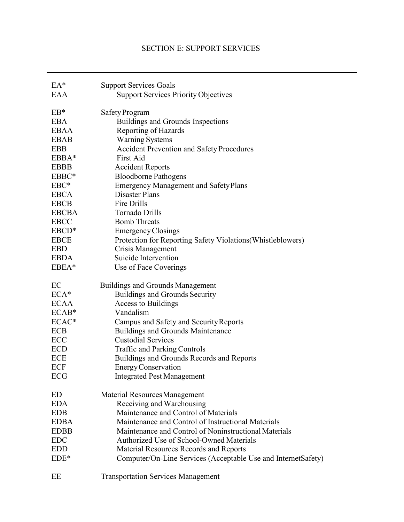# SECTION E: SUPPORT SERVICES

| $EA^*$            | <b>Support Services Goals</b>                                 |
|-------------------|---------------------------------------------------------------|
| EAA               | <b>Support Services Priority Objectives</b>                   |
| $EB*$             | Safety Program                                                |
| <b>EBA</b>        | Buildings and Grounds Inspections                             |
| <b>EBAA</b>       | Reporting of Hazards                                          |
| <b>EBAB</b>       | <b>Warning Systems</b>                                        |
| <b>EBB</b>        | <b>Accident Prevention and Safety Procedures</b>              |
| $EBBA*$           | First Aid                                                     |
| <b>EBBB</b>       | <b>Accident Reports</b>                                       |
| EBBC*             | <b>Bloodborne Pathogens</b>                                   |
| $EBC*$            | <b>Emergency Management and Safety Plans</b>                  |
| <b>EBCA</b>       | Disaster Plans                                                |
| <b>EBCB</b>       | Fire Drills                                                   |
| <b>EBCBA</b>      | Tornado Drills                                                |
| <b>EBCC</b>       | <b>Bomb Threats</b>                                           |
| EBCD <sup>*</sup> | <b>Emergency Closings</b>                                     |
| <b>EBCE</b>       | Protection for Reporting Safety Violations (Whistleblowers)   |
| <b>EBD</b>        | Crisis Management                                             |
| <b>EBDA</b>       | Suicide Intervention                                          |
| EBEA*             | Use of Face Coverings                                         |
| EC                | <b>Buildings and Grounds Management</b>                       |
| $ECA*$            | Buildings and Grounds Security                                |
| <b>ECAA</b>       | Access to Buildings                                           |
| $ECAB*$           | Vandalism                                                     |
| ECAC*             | Campus and Safety and Security Reports                        |
| <b>ECB</b>        | <b>Buildings and Grounds Maintenance</b>                      |
| ECC               | <b>Custodial Services</b>                                     |
| <b>ECD</b>        | <b>Traffic and Parking Controls</b>                           |
| ECE               | Buildings and Grounds Records and Reports                     |
| ECF               | Energy Conservation                                           |
| ECG               | <b>Integrated Pest Management</b>                             |
| ED                | Material Resources Management                                 |
| <b>EDA</b>        | Receiving and Warehousing                                     |
| <b>EDB</b>        | Maintenance and Control of Materials                          |
| <b>EDBA</b>       | Maintenance and Control of Instructional Materials            |
| <b>EDBB</b>       | Maintenance and Control of Noninstructional Materials         |
| <b>EDC</b>        | Authorized Use of School-Owned Materials                      |
| <b>EDD</b>        | Material Resources Records and Reports                        |
| $EDE*$            | Computer/On-Line Services (Acceptable Use and InternetSafety) |
| EE                | <b>Transportation Services Management</b>                     |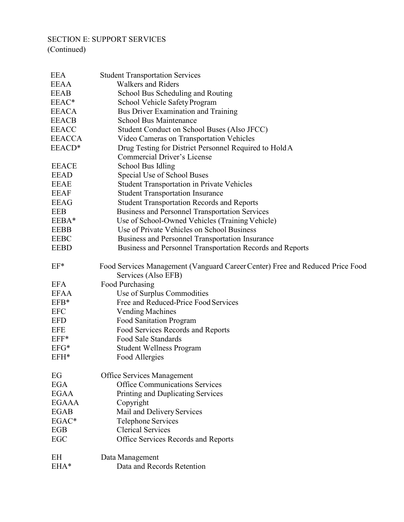# SECTION E: SUPPORT SERVICES

| <b>EEA</b>    | <b>Student Transportation Services</b>                                                               |
|---------------|------------------------------------------------------------------------------------------------------|
| <b>EEAA</b>   | <b>Walkers and Riders</b>                                                                            |
| <b>EEAB</b>   | School Bus Scheduling and Routing                                                                    |
| EEAC*         | School Vehicle Safety Program                                                                        |
| <b>EEACA</b>  | Bus Driver Examination and Training                                                                  |
| <b>EEACB</b>  | <b>School Bus Maintenance</b>                                                                        |
| <b>EEACC</b>  | Student Conduct on School Buses (Also JFCC)                                                          |
| <b>EEACCA</b> | Video Cameras on Transportation Vehicles                                                             |
| EEACD*        | Drug Testing for District Personnel Required to Hold A                                               |
|               | Commercial Driver's License                                                                          |
| <b>EEACE</b>  | School Bus Idling                                                                                    |
| <b>EEAD</b>   | Special Use of School Buses                                                                          |
| <b>EEAE</b>   | <b>Student Transportation in Private Vehicles</b>                                                    |
| <b>EEAF</b>   | <b>Student Transportation Insurance</b>                                                              |
| <b>EEAG</b>   | <b>Student Transportation Records and Reports</b>                                                    |
| <b>EEB</b>    | <b>Business and Personnel Transportation Services</b>                                                |
| EEBA*         | Use of School-Owned Vehicles (Training Vehicle)                                                      |
| <b>EEBB</b>   | Use of Private Vehicles on School Business                                                           |
| <b>EEBC</b>   | Business and Personnel Transportation Insurance                                                      |
| <b>EEBD</b>   | Business and Personnel Transportation Records and Reports                                            |
| $EF*$         | Food Services Management (Vanguard Career Center) Free and Reduced Price Food<br>Services (Also EFB) |
| <b>EFA</b>    | Food Purchasing                                                                                      |
| <b>EFAA</b>   | Use of Surplus Commodities                                                                           |
| $EFB*$        | Free and Reduced-Price Food Services                                                                 |
| <b>EFC</b>    | <b>Vending Machines</b>                                                                              |
| <b>EFD</b>    | <b>Food Sanitation Program</b>                                                                       |
| <b>EFE</b>    | Food Services Records and Reports                                                                    |
| $EFF*$        | Food Sale Standards                                                                                  |
| $EFG*$        | <b>Student Wellness Program</b>                                                                      |
| EFH*          | Food Allergies                                                                                       |
|               |                                                                                                      |
| EG            | <b>Office Services Management</b>                                                                    |
| <b>EGA</b>    | <b>Office Communications Services</b>                                                                |
| <b>EGAA</b>   | Printing and Duplicating Services                                                                    |
| <b>EGAAA</b>  | Copyright                                                                                            |
| <b>EGAB</b>   | Mail and Delivery Services                                                                           |
| EGAC*         | <b>Telephone Services</b>                                                                            |
| EGB           | <b>Clerical Services</b>                                                                             |
| EGC           | Office Services Records and Reports                                                                  |
| EH            | Data Management                                                                                      |
| EHA*          | Data and Records Retention                                                                           |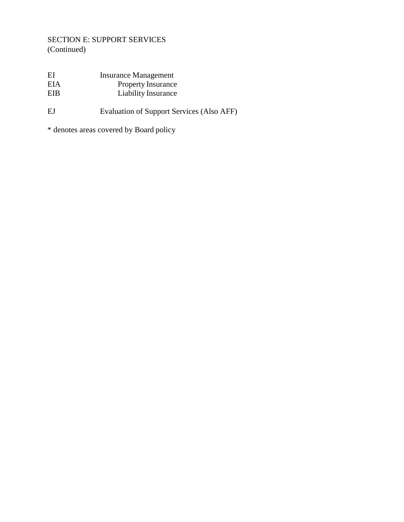# SECTION E: SUPPORT SERVICES (Continued)

| EI  | <b>Insurance Management</b> |
|-----|-----------------------------|
| EIA | <b>Property Insurance</b>   |
| EIB | Liability Insurance         |
|     |                             |

# EJ Evaluation of Support Services (Also AFF)

\* denotes areas covered by Board policy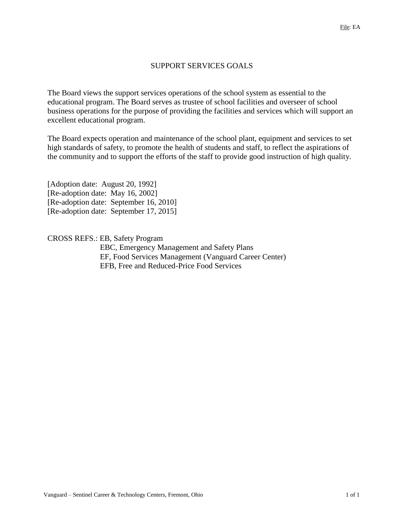## SUPPORT SERVICES GOALS

The Board views the support services operations of the school system as essential to the educational program. The Board serves as trustee of school facilities and overseer of school business operations for the purpose of providing the facilities and services which will support an excellent educational program.

The Board expects operation and maintenance of the school plant, equipment and services to set high standards of safety, to promote the health of students and staff, to reflect the aspirations of the community and to support the efforts of the staff to provide good instruction of high quality.

[Adoption date: August 20, 1992] [Re-adoption date: May 16, 2002] [Re-adoption date: September 16, 2010] [Re-adoption date: September 17, 2015]

CROSS REFS.: EB, Safety Program EBC, Emergency Management and Safety Plans EF, Food Services Management (Vanguard Career Center) EFB, Free and Reduced-Price Food Services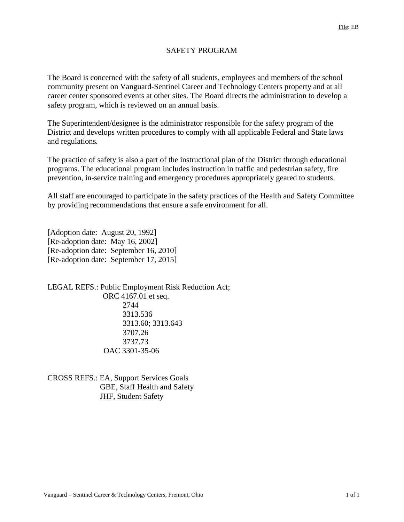# SAFETY PROGRAM

The Board is concerned with the safety of all students, employees and members of the school community present on Vanguard-Sentinel Career and Technology Centers property and at all career center sponsored events at other sites. The Board directs the administration to develop a safety program, which is reviewed on an annual basis.

The Superintendent/designee is the administrator responsible for the safety program of the District and develops written procedures to comply with all applicable Federal and State laws and regulations*.*

The practice of safety is also a part of the instructional plan of the District through educational programs. The educational program includes instruction in traffic and pedestrian safety, fire prevention, in-service training and emergency procedures appropriately geared to students.

All staff are encouraged to participate in the safety practices of the Health and Safety Committee by providing recommendations that ensure a safe environment for all.

[Adoption date: August 20, 1992] [Re-adoption date: May 16, 2002] [Re-adoption date: September 16, 2010] [Re-adoption date: September 17, 2015]

LEGAL REFS.: Public Employment Risk Reduction Act; ORC 4167.01 et seq. 2744 3313.536 3313.60; 3313.643 3707.26 3737.73 OAC 3301-35-06

CROSS REFS.: EA, Support Services Goals GBE, Staff Health and Safety JHF, Student Safety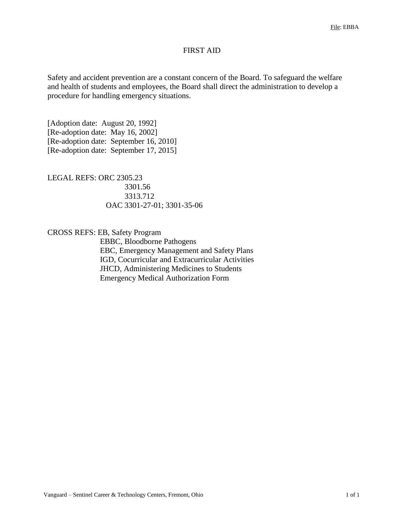## FIRST AID

Safety and accident prevention are a constant concern of the Board. To safeguard the welfare and health of students and employees, the Board shall direct the administration to develop a procedure for handling emergency situations.

[Adoption date: August 20, 1992] [Re-adoption date: May 16, 2002] [Re-adoption date: September 16, 2010] [Re-adoption date: September 17, 2015]

LEGAL REFS: ORC 2305.23 3301.56 3313.712 OAC 3301-27-01; 3301-35-06

CROSS REFS: EB, Safety Program

EBBC, Bloodborne Pathogens EBC, Emergency Management and Safety Plans IGD, Cocurricular and Extracurricular Activities JHCD, Administering Medicines to Students Emergency Medical Authorization Form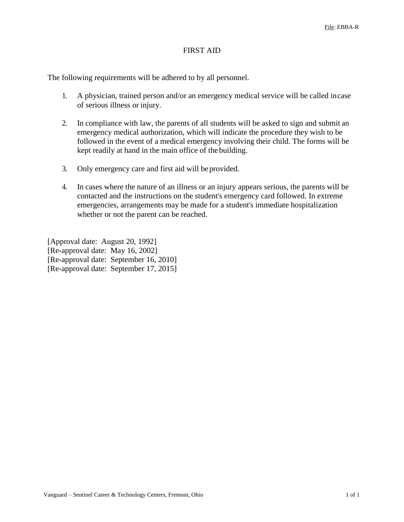## FIRST AID

The following requirements will be adhered to by all personnel.

- 1. A physician, trained person and/or an emergency medical service will be called incase of serious illness or injury.
- 2. In compliance with law, the parents of all students will be asked to sign and submit an emergency medical authorization, which will indicate the procedure they wish to be followed in the event of a medical emergency involving their child. The forms will be kept readily at hand in the main office of the building.
- 3. Only emergency care and first aid will beprovided.
- 4. In cases where the nature of an illness or an injury appears serious, the parents will be contacted and the instructions on the student's emergency card followed. In extreme emergencies, arrangements may be made for a student's immediate hospitalization whether or not the parent can be reached.

[Approval date: August 20, 1992] [Re-approval date: May 16, 2002] [Re-approval date: September 16, 2010] [Re-approval date: September 17, 2015]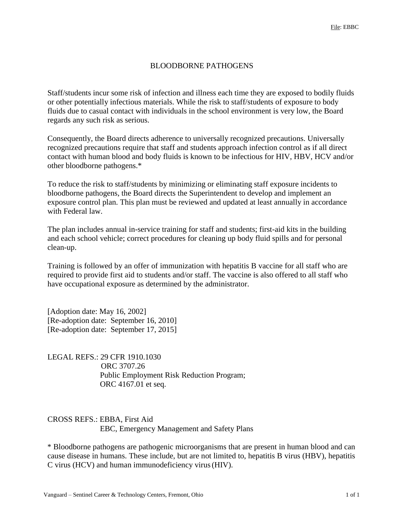### BLOODBORNE PATHOGENS

Staff/students incur some risk of infection and illness each time they are exposed to bodily fluids or other potentially infectious materials. While the risk to staff/students of exposure to body fluids due to casual contact with individuals in the school environment is very low, the Board regards any such risk as serious.

Consequently, the Board directs adherence to universally recognized precautions. Universally recognized precautions require that staff and students approach infection control as if all direct contact with human blood and body fluids is known to be infectious for HIV, HBV, HCV and/or other bloodborne pathogens.\*

To reduce the risk to staff/students by minimizing or eliminating staff exposure incidents to bloodborne pathogens, the Board directs the Superintendent to develop and implement an exposure control plan. This plan must be reviewed and updated at least annually in accordance with Federal law.

The plan includes annual in-service training for staff and students; first-aid kits in the building and each school vehicle; correct procedures for cleaning up body fluid spills and for personal clean-up.

Training is followed by an offer of immunization with hepatitis B vaccine for all staff who are required to provide first aid to students and/or staff. The vaccine is also offered to all staff who have occupational exposure as determined by the administrator.

[Adoption date: May 16, 2002] [Re-adoption date: September 16, 2010] [Re-adoption date: September 17, 2015]

LEGAL REFS.: 29 CFR 1910.1030 ORC 3707.26 Public Employment Risk Reduction Program; ORC 4167.01 et seq.

#### CROSS REFS.: EBBA, First Aid EBC, Emergency Management and Safety Plans

\* Bloodborne pathogens are pathogenic microorganisms that are present in human blood and can cause disease in humans. These include, but are not limited to, hepatitis B virus (HBV), hepatitis C virus (HCV) and human immunodeficiency virus(HIV).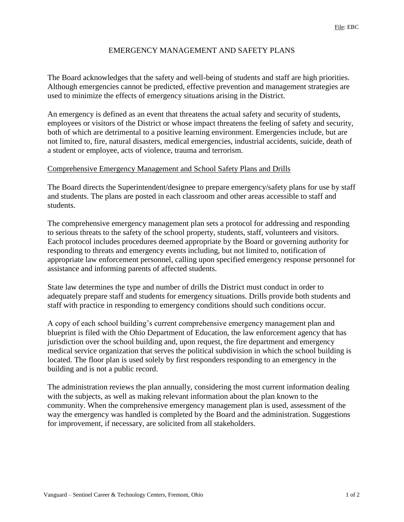## EMERGENCY MANAGEMENT AND SAFETY PLANS

The Board acknowledges that the safety and well-being of students and staff are high priorities. Although emergencies cannot be predicted, effective prevention and management strategies are used to minimize the effects of emergency situations arising in the District.

An emergency is defined as an event that threatens the actual safety and security of students, employees or visitors of the District or whose impact threatens the feeling of safety and security, both of which are detrimental to a positive learning environment. Emergencies include, but are not limited to, fire, natural disasters, medical emergencies, industrial accidents, suicide, death of a student or employee, acts of violence, trauma and terrorism.

#### Comprehensive Emergency Management and School Safety Plans and Drills

The Board directs the Superintendent/designee to prepare emergency/safety plans for use by staff and students. The plans are posted in each classroom and other areas accessible to staff and students.

The comprehensive emergency management plan sets a protocol for addressing and responding to serious threats to the safety of the school property, students, staff, volunteers and visitors. Each protocol includes procedures deemed appropriate by the Board or governing authority for responding to threats and emergency events including, but not limited to, notification of appropriate law enforcement personnel, calling upon specified emergency response personnel for assistance and informing parents of affected students.

State law determines the type and number of drills the District must conduct in order to adequately prepare staff and students for emergency situations. Drills provide both students and staff with practice in responding to emergency conditions should such conditions occur.

A copy of each school building's current comprehensive emergency management plan and blueprint is filed with the Ohio Department of Education, the law enforcement agency that has jurisdiction over the school building and, upon request, the fire department and emergency medical service organization that serves the political subdivision in which the school building is located. The floor plan is used solely by first responders responding to an emergency in the building and is not a public record.

The administration reviews the plan annually, considering the most current information dealing with the subjects, as well as making relevant information about the plan known to the community. When the comprehensive emergency management plan is used, assessment of the way the emergency was handled is completed by the Board and the administration. Suggestions for improvement, if necessary, are solicited from all stakeholders.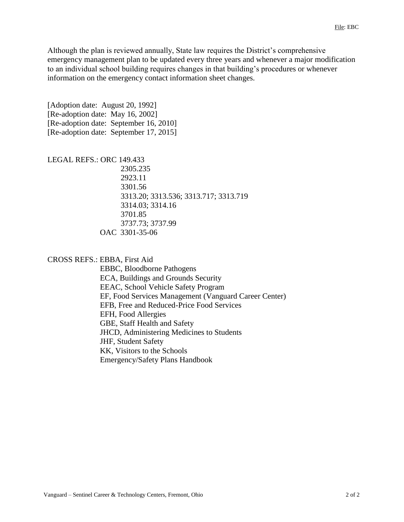Although the plan is reviewed annually, State law requires the District's comprehensive emergency management plan to be updated every three years and whenever a major modification to an individual school building requires changes in that building's procedures or whenever information on the emergency contact information sheet changes.

[Adoption date: August 20, 1992] [Re-adoption date: May 16, 2002] [Re-adoption date: September 16, 2010] [Re-adoption date: September 17, 2015]

#### LEGAL REFS.: ORC 149.433

2305.235 2923.11 3301.56 3313.20; 3313.536; 3313.717; 3313.719 3314.03; 3314.16 3701.85 3737.73; 3737.99 OAC 3301-35-06

#### CROSS REFS.: EBBA, First Aid

EBBC, Bloodborne Pathogens ECA, Buildings and Grounds Security EEAC, School Vehicle Safety Program EF, Food Services Management (Vanguard Career Center) EFB, Free and Reduced-Price Food Services EFH, Food Allergies GBE, Staff Health and Safety JHCD, Administering Medicines to Students JHF, Student Safety KK, Visitors to the Schools Emergency/Safety Plans Handbook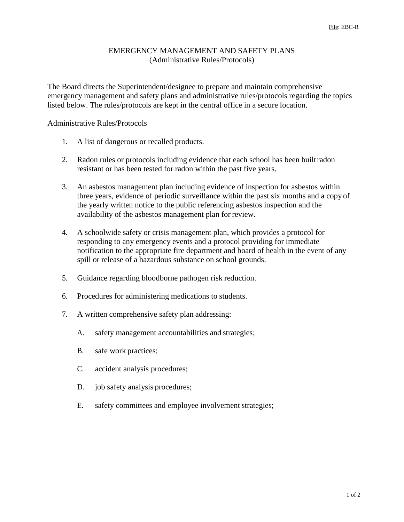### EMERGENCY MANAGEMENT AND SAFETY PLANS (Administrative Rules/Protocols)

The Board directs the Superintendent/designee to prepare and maintain comprehensive emergency management and safety plans and administrative rules/protocols regarding the topics listed below. The rules/protocols are kept in the central office in a secure location.

#### Administrative Rules/Protocols

- 1. A list of dangerous or recalled products.
- 2. Radon rules or protocols including evidence that each school has been builtradon resistant or has been tested for radon within the past five years.
- 3. An asbestos management plan including evidence of inspection for asbestos within three years, evidence of periodic surveillance within the past six months and a copy of the yearly written notice to the public referencing asbestos inspection and the availability of the asbestos management plan for review.
- 4. A schoolwide safety or crisis management plan, which provides a protocol for responding to any emergency events and a protocol providing for immediate notification to the appropriate fire department and board of health in the event of any spill or release of a hazardous substance on school grounds.
- 5. Guidance regarding bloodborne pathogen risk reduction.
- 6. Procedures for administering medications to students.
- 7. A written comprehensive safety plan addressing:
	- A. safety management accountabilities and strategies;
	- B. safe work practices;
	- C. accident analysis procedures;
	- D. job safety analysis procedures;
	- E. safety committees and employee involvement strategies;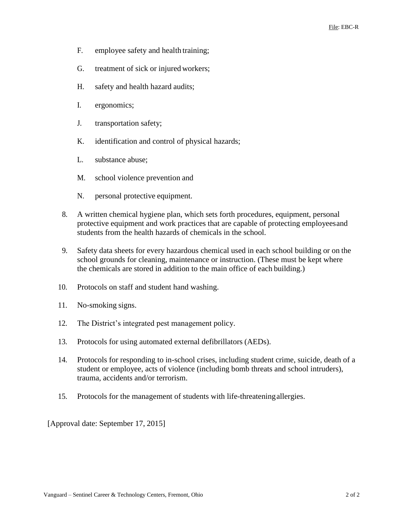- F. employee safety and health training;
- G. treatment of sick or injured workers;
- H. safety and health hazard audits;
- I. ergonomics;
- J. transportation safety;
- K. identification and control of physical hazards;
- L. substance abuse;
- M. school violence prevention and
- N. personal protective equipment.
- 8. A written chemical hygiene plan, which sets forth procedures, equipment, personal protective equipment and work practices that are capable of protecting employeesand students from the health hazards of chemicals in the school.
- 9. Safety data sheets for every hazardous chemical used in each school building or on the school grounds for cleaning, maintenance or instruction. (These must be kept where the chemicals are stored in addition to the main office of each building.)
- 10. Protocols on staff and student hand washing.
- 11. No-smoking signs.
- 12. The District's integrated pest management policy.
- 13. Protocols for using automated external defibrillators (AEDs).
- 14. Protocols for responding to in-school crises, including student crime, suicide, death of a student or employee, acts of violence (including bomb threats and school intruders), trauma, accidents and/or terrorism.
- 15. Protocols for the management of students with life-threateningallergies.

[Approval date: September 17, 2015]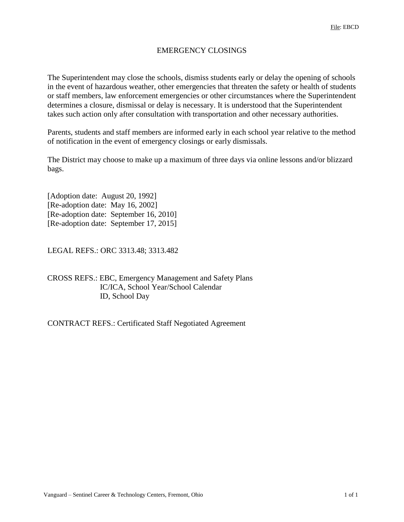### EMERGENCY CLOSINGS

The Superintendent may close the schools, dismiss students early or delay the opening of schools in the event of hazardous weather, other emergencies that threaten the safety or health of students or staff members, law enforcement emergencies or other circumstances where the Superintendent determines a closure, dismissal or delay is necessary. It is understood that the Superintendent takes such action only after consultation with transportation and other necessary authorities.

Parents, students and staff members are informed early in each school year relative to the method of notification in the event of emergency closings or early dismissals.

The District may choose to make up a maximum of three days via online lessons and/or blizzard bags.

[Adoption date: August 20, 1992] [Re-adoption date: May 16, 2002] [Re-adoption date: September 16, 2010] [Re-adoption date: September 17, 2015]

LEGAL REFS.: ORC 3313.48; 3313.482

CROSS REFS.: EBC, Emergency Management and Safety Plans IC/ICA, School Year/School Calendar ID, School Day

CONTRACT REFS.: Certificated Staff Negotiated Agreement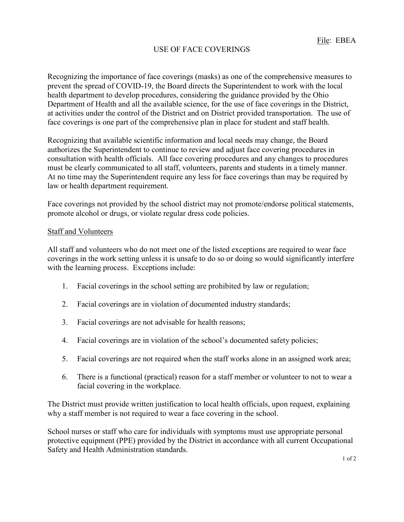# USE OF FACE COVERINGS

Recognizing the importance of face coverings (masks) as one of the comprehensive measures to prevent the spread of COVID-19, the Board directs the Superintendent to work with the local health department to develop procedures, considering the guidance provided by the Ohio Department of Health and all the available science, for the use of face coverings in the District, at activities under the control of the District and on District provided transportation. The use of face coverings is one part of the comprehensive plan in place for student and staff health.

Recognizing that available scientific information and local needs may change, the Board authorizes the Superintendent to continue to review and adjust face covering procedures in consultation with health officials. All face covering procedures and any changes to procedures must be clearly communicated to all staff, volunteers, parents and students in a timely manner. At no time may the Superintendent require any less for face coverings than may be required by law or health department requirement.

Face coverings not provided by the school district may not promote/endorse political statements, promote alcohol or drugs, or violate regular dress code policies.

#### Staff and Volunteers

All staff and volunteers who do not meet one of the listed exceptions are required to wear face coverings in the work setting unless it is unsafe to do so or doing so would significantly interfere with the learning process. Exceptions include:

- 1. Facial coverings in the school setting are prohibited by law or regulation;
- 2. Facial coverings are in violation of documented industry standards;
- 3. Facial coverings are not advisable for health reasons;
- 4. Facial coverings are in violation of the school's documented safety policies;
- 5. Facial coverings are not required when the staff works alone in an assigned work area;
- 6. There is a functional (practical) reason for a staff member or volunteer to not to wear a facial covering in the workplace.

The District must provide written justification to local health officials, upon request, explaining why a staff member is not required to wear a face covering in the school.

School nurses or staff who care for individuals with symptoms must use appropriate personal protective equipment (PPE) provided by the District in accordance with all current Occupational Safety and Health Administration standards.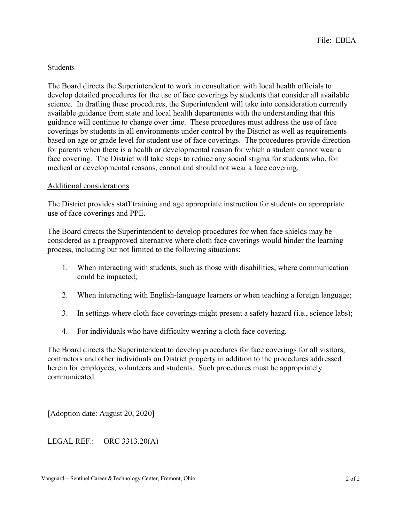### Students

The Board directs the Superintendent to work in consultation with local health officials to develop detailed procedures for the use of face coverings by students that consider all available science. In drafting these procedures, the Superintendent will take into consideration currently available guidance from state and local health departments with the understanding that this guidance will continue to change over time. These procedures must address the use of face coverings by students in all environments under control by the District as well as requirements based on age or grade level for student use of face coverings. The procedures provide direction for parents when there is a health or developmental reason for which a student cannot wear a face covering. The District will take steps to reduce any social stigma for students who, for medical or developmental reasons, cannot and should not wear a face covering.

#### Additional considerations

The District provides staff training and age appropriate instruction for students on appropriate use of face coverings and PPE.

The Board directs the Superintendent to develop procedures for when face shields may be considered as a preapproved alternative where cloth face coverings would hinder the learning process, including but not limited to the following situations:

- 1. When interacting with students, such as those with disabilities, where communication could be impacted;
- 2. When interacting with English-language learners or when teaching a foreign language;
- 3. In settings where cloth face coverings might present a safety hazard (i.e., science labs);
- 4. For individuals who have difficulty wearing a cloth face covering.

The Board directs the Superintendent to develop procedures for face coverings for all visitors, contractors and other individuals on District property in addition to the procedures addressed herein for employees, volunteers and students. Such procedures must be appropriately communicated.

[Adoption date: August 20, 2020]

LEGAL REF.: ORC 3313.20(A)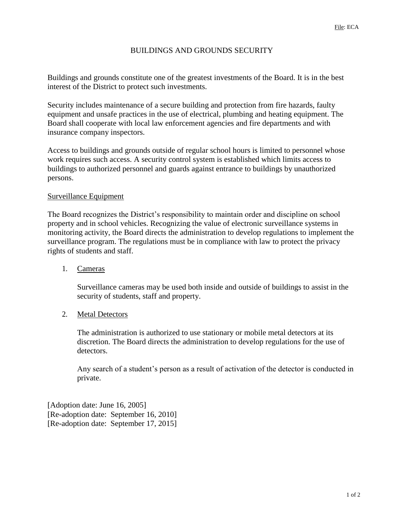# BUILDINGS AND GROUNDS SECURITY

Buildings and grounds constitute one of the greatest investments of the Board. It is in the best interest of the District to protect such investments.

Security includes maintenance of a secure building and protection from fire hazards, faulty equipment and unsafe practices in the use of electrical, plumbing and heating equipment. The Board shall cooperate with local law enforcement agencies and fire departments and with insurance company inspectors.

Access to buildings and grounds outside of regular school hours is limited to personnel whose work requires such access. A security control system is established which limits access to buildings to authorized personnel and guards against entrance to buildings by unauthorized persons.

### Surveillance Equipment

The Board recognizes the District's responsibility to maintain order and discipline on school property and in school vehicles. Recognizing the value of electronic surveillance systems in monitoring activity, the Board directs the administration to develop regulations to implement the surveillance program. The regulations must be in compliance with law to protect the privacy rights of students and staff.

#### 1. Cameras

Surveillance cameras may be used both inside and outside of buildings to assist in the security of students, staff and property.

### 2. Metal Detectors

The administration is authorized to use stationary or mobile metal detectors at its discretion. The Board directs the administration to develop regulations for the use of detectors.

Any search of a student's person as a result of activation of the detector is conducted in private.

[Adoption date: June 16, 2005] [Re-adoption date: September 16, 2010] [Re-adoption date: September 17, 2015]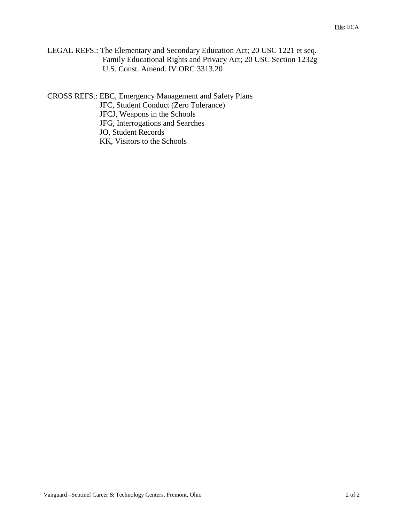LEGAL REFS.: The Elementary and Secondary Education Act; 20 USC 1221 et seq. Family Educational Rights and Privacy Act; 20 USC Section 1232g U.S. Const. Amend. IV ORC 3313.20

CROSS REFS.: EBC, Emergency Management and Safety Plans JFC, Student Conduct (Zero Tolerance) JFCJ, Weapons in the Schools JFG, Interrogations and Searches JO, Student Records KK, Visitors to the Schools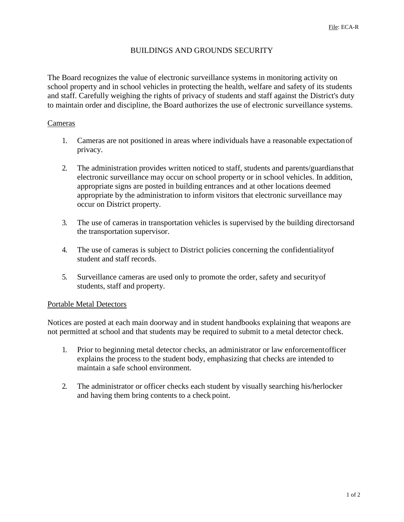### BUILDINGS AND GROUNDS SECURITY

The Board recognizes the value of electronic surveillance systems in monitoring activity on school property and in school vehicles in protecting the health, welfare and safety of its students and staff. Carefully weighing the rights of privacy of students and staff against the District's duty to maintain order and discipline, the Board authorizes the use of electronic surveillance systems.

#### Cameras

- 1. Cameras are not positioned in areas where individuals have a reasonable expectationof privacy.
- 2. The administration provides written noticed to staff, students and parents/guardiansthat electronic surveillance may occur on school property or in school vehicles. In addition, appropriate signs are posted in building entrances and at other locations deemed appropriate by the administration to inform visitors that electronic surveillance may occur on District property.
- 3. The use of cameras in transportation vehicles is supervised by the building directorsand the transportation supervisor.
- 4. The use of cameras is subject to District policies concerning the confidentialityof student and staff records.
- 5. Surveillance cameras are used only to promote the order, safety and securityof students, staff and property.

#### Portable Metal Detectors

Notices are posted at each main doorway and in student handbooks explaining that weapons are not permitted at school and that students may be required to submit to a metal detector check.

- 1. Prior to beginning metal detector checks, an administrator or law enforcementofficer explains the process to the student body, emphasizing that checks are intended to maintain a safe school environment.
- 2. The administrator or officer checks each student by visually searching his/herlocker and having them bring contents to a check point.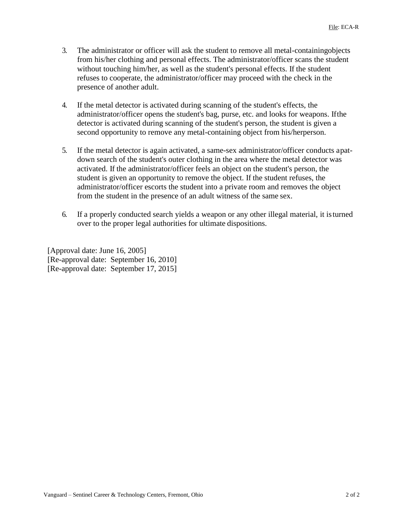- 3. The administrator or officer will ask the student to remove all metal-containingobjects from his/her clothing and personal effects. The administrator/officer scans the student without touching him/her, as well as the student's personal effects. If the student refuses to cooperate, the administrator/officer may proceed with the check in the presence of another adult.
- 4. If the metal detector is activated during scanning of the student's effects, the administrator/officer opens the student's bag, purse, etc. and looks for weapons. Ifthe detector is activated during scanning of the student's person, the student is given a second opportunity to remove any metal-containing object from his/herperson.
- 5. If the metal detector is again activated, a same-sex administrator/officer conducts apatdown search of the student's outer clothing in the area where the metal detector was activated. If the administrator/officer feels an object on the student's person, the student is given an opportunity to remove the object. If the student refuses, the administrator/officer escorts the student into a private room and removes the object from the student in the presence of an adult witness of the same sex.
- 6. If a properly conducted search yields a weapon or any other illegal material, it isturned over to the proper legal authorities for ultimate dispositions.

[Approval date: June 16, 2005] [Re-approval date: September 16, 2010] [Re-approval date: September 17, 2015]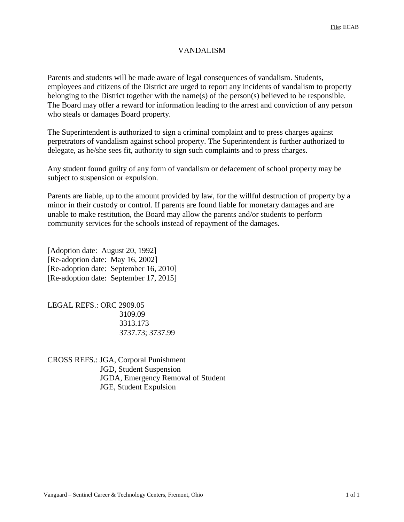## VANDALISM

Parents and students will be made aware of legal consequences of vandalism. Students, employees and citizens of the District are urged to report any incidents of vandalism to property belonging to the District together with the name(s) of the person(s) believed to be responsible. The Board may offer a reward for information leading to the arrest and conviction of any person who steals or damages Board property.

The Superintendent is authorized to sign a criminal complaint and to press charges against perpetrators of vandalism against school property. The Superintendent is further authorized to delegate, as he/she sees fit, authority to sign such complaints and to press charges.

Any student found guilty of any form of vandalism or defacement of school property may be subject to suspension or expulsion.

Parents are liable, up to the amount provided by law, for the willful destruction of property by a minor in their custody or control. If parents are found liable for monetary damages and are unable to make restitution, the Board may allow the parents and/or students to perform community services for the schools instead of repayment of the damages.

[Adoption date: August 20, 1992] [Re-adoption date: May 16, 2002] [Re-adoption date: September 16, 2010] [Re-adoption date: September 17, 2015]

LEGAL REFS.: ORC 2909.05 3109.09 3313.173 3737.73; 3737.99

CROSS REFS.: JGA, Corporal Punishment JGD, Student Suspension JGDA, Emergency Removal of Student JGE, Student Expulsion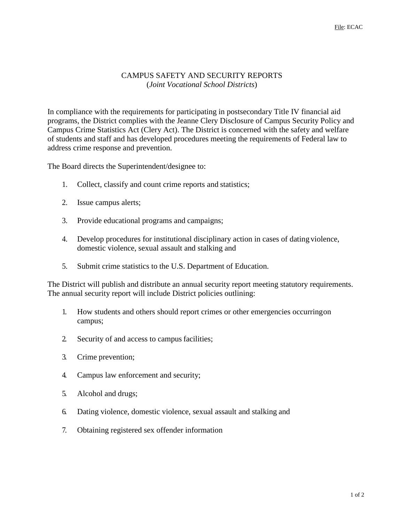## CAMPUS SAFETY AND SECURITY REPORTS (*Joint Vocational School Districts*)

In compliance with the requirements for participating in postsecondary Title IV financial aid programs, the District complies with the Jeanne Clery Disclosure of Campus Security Policy and Campus Crime Statistics Act (Clery Act). The District is concerned with the safety and welfare of students and staff and has developed procedures meeting the requirements of Federal law to address crime response and prevention.

The Board directs the Superintendent/designee to:

- 1. Collect, classify and count crime reports and statistics;
- 2. Issue campus alerts;
- 3. Provide educational programs and campaigns;
- 4. Develop procedures for institutional disciplinary action in cases of dating violence, domestic violence, sexual assault and stalking and
- 5. Submit crime statistics to the U.S. Department of Education.

The District will publish and distribute an annual security report meeting statutory requirements. The annual security report will include District policies outlining:

- 1. How students and others should report crimes or other emergencies occurringon campus;
- 2. Security of and access to campus facilities;
- 3. Crime prevention;
- 4. Campus law enforcement and security;
- 5. Alcohol and drugs;
- 6. Dating violence, domestic violence, sexual assault and stalking and
- 7. Obtaining registered sex offender information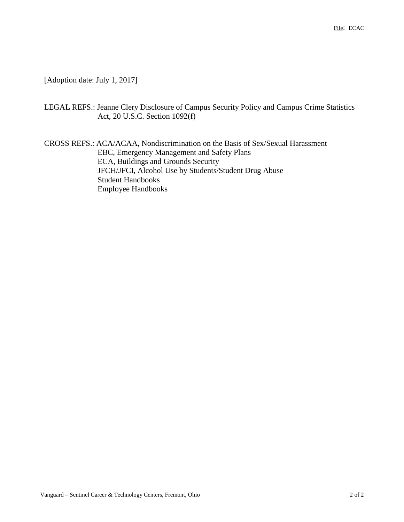[Adoption date: July 1, 2017]

LEGAL REFS.: Jeanne Clery Disclosure of Campus Security Policy and Campus Crime Statistics Act, 20 U.S.C. Section 1092(f)

CROSS REFS.: ACA/ACAA, Nondiscrimination on the Basis of Sex/Sexual Harassment EBC, Emergency Management and Safety Plans ECA, Buildings and Grounds Security JFCH/JFCI, Alcohol Use by Students/Student Drug Abuse Student Handbooks Employee Handbooks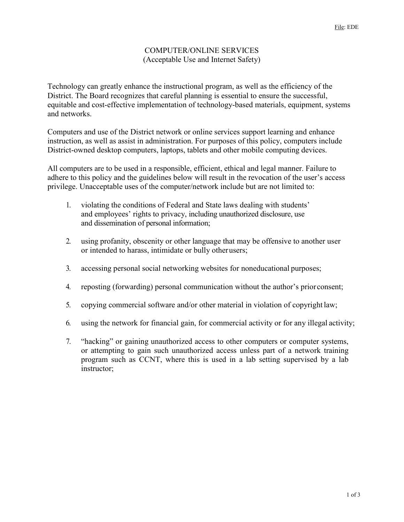#### COMPUTER/ONLINE SERVICES (Acceptable Use and Internet Safety)

Technology can greatly enhance the instructional program, as well as the efficiency of the District. The Board recognizes that careful planning is essential to ensure the successful, equitable and cost-effective implementation of technology-based materials, equipment, systems and networks.

Computers and use of the District network or online services support learning and enhance instruction, as well as assist in administration. For purposes of this policy, computers include District-owned desktop computers, laptops, tablets and other mobile computing devices.

All computers are to be used in a responsible, efficient, ethical and legal manner. Failure to adhere to this policy and the guidelines below will result in the revocation of the user's access privilege. Unacceptable uses of the computer/network include but are not limited to:

- 1. violating the conditions of Federal and State laws dealing with students' and employees' rights to privacy, including unauthorized disclosure, use and dissemination of personal information;
- 2. using profanity, obscenity or other language that may be offensive to another user or intended to harass, intimidate or bully otherusers;
- 3. accessing personal social networking websites for noneducational purposes;
- 4. reposting (forwarding) personal communication without the author's priorconsent;
- 5. copying commercial software and/or other material in violation of copyright law;
- 6. using the network for financial gain, for commercial activity or for any illegal activity;
- 7. "hacking" or gaining unauthorized access to other computers or computer systems, or attempting to gain such unauthorized access unless part of a network training program such as CCNT, where this is used in a lab setting supervised by a lab instructor;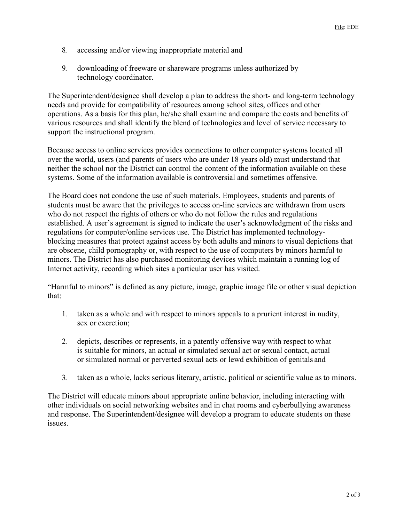- 8. accessing and/or viewing inappropriate material and
- 9. downloading of freeware or shareware programs unless authorized by technology coordinator.

The Superintendent/designee shall develop a plan to address the short- and long-term technology needs and provide for compatibility of resources among school sites, offices and other operations. As a basis for this plan, he/she shall examine and compare the costs and benefits of various resources and shall identify the blend of technologies and level of service necessary to support the instructional program.

Because access to online services provides connections to other computer systems located all over the world, users (and parents of users who are under 18 years old) must understand that neither the school nor the District can control the content of the information available on these systems. Some of the information available is controversial and sometimes offensive.

The Board does not condone the use of such materials. Employees, students and parents of students must be aware that the privileges to access on-line services are withdrawn from users who do not respect the rights of others or who do not follow the rules and regulations established. A user's agreement is signed to indicate the user's acknowledgment of the risks and regulations for computer/online services use. The District has implemented technologyblocking measures that protect against access by both adults and minors to visual depictions that are obscene, child pornography or, with respect to the use of computers by minors harmful to minors. The District has also purchased monitoring devices which maintain a running log of Internet activity, recording which sites a particular user has visited.

"Harmful to minors" is defined as any picture, image, graphic image file or other visual depiction that:

- 1. taken as a whole and with respect to minors appeals to a prurient interest in nudity, sex or excretion;
- 2. depicts, describes or represents, in a patently offensive way with respect to what is suitable for minors, an actual or simulated sexual act or sexual contact, actual or simulated normal or perverted sexual acts or lewd exhibition of genitals and
- 3. taken as a whole, lacks serious literary, artistic, political or scientific value as to minors.

The District will educate minors about appropriate online behavior, including interacting with other individuals on social networking websites and in chat rooms and cyberbullying awareness and response. The Superintendent/designee will develop a program to educate students on these issues.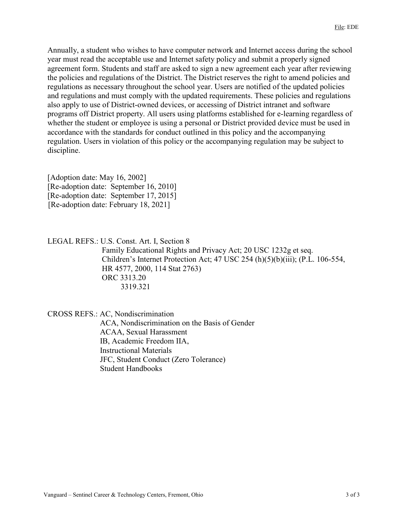Annually, a student who wishes to have computer network and Internet access during the school year must read the acceptable use and Internet safety policy and submit a properly signed agreement form. Students and staff are asked to sign a new agreement each year after reviewing the policies and regulations of the District. The District reserves the right to amend policies and regulations as necessary throughout the school year. Users are notified of the updated policies and regulations and must comply with the updated requirements. These policies and regulations also apply to use of District-owned devices, or accessing of District intranet and software programs off District property. All users using platforms established for e-learning regardless of whether the student or employee is using a personal or District provided device must be used in accordance with the standards for conduct outlined in this policy and the accompanying regulation. Users in violation of this policy or the accompanying regulation may be subject to discipline.

[Adoption date: May 16, 2002] [Re-adoption date: September 16, 2010] [Re-adoption date: September 17, 2015] [Re-adoption date: February 18, 2021]

LEGAL REFS.: U.S. Const. Art. I, Section 8

Family Educational Rights and Privacy Act; 20 USC 1232g et seq. Children's Internet Protection Act; 47 USC 254 (h)(5)(b)(iii); (P.L. 106-554, HR 4577, 2000, 114 Stat 2763) ORC 3313.20 3319.321

CROSS REFS.: AC, Nondiscrimination

ACA, Nondiscrimination on the Basis of Gender ACAA, Sexual Harassment IB, Academic Freedom IIA, Instructional Materials JFC, Student Conduct (Zero Tolerance) Student Handbooks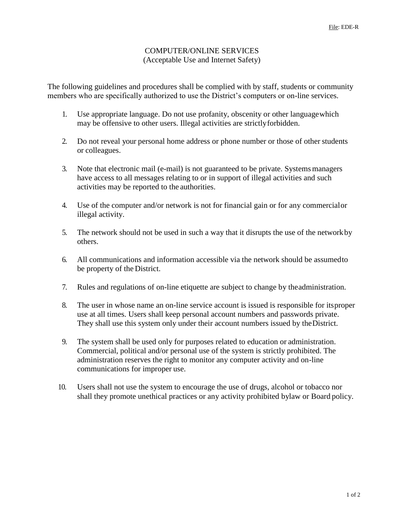#### COMPUTER/ONLINE SERVICES (Acceptable Use and Internet Safety)

The following guidelines and procedures shall be complied with by staff, students or community members who are specifically authorized to use the District's computers or on-line services.

- 1. Use appropriate language. Do not use profanity, obscenity or other languagewhich may be offensive to other users. Illegal activities are strictlyforbidden.
- 2. Do not reveal your personal home address or phone number or those of other students or colleagues.
- 3. Note that electronic mail (e-mail) is not guaranteed to be private. Systems managers have access to all messages relating to or in support of illegal activities and such activities may be reported to the authorities.
- 4. Use of the computer and/or network is not for financial gain or for any commercialor illegal activity.
- 5. The network should not be used in such a way that it disrupts the use of the networkby others.
- 6. All communications and information accessible via the network should be assumedto be property of the District.
- 7. Rules and regulations of on-line etiquette are subject to change by theadministration.
- 8. The user in whose name an on-line service account is issued is responsible for itsproper use at all times. Users shall keep personal account numbers and passwords private. They shall use this system only under their account numbers issued by theDistrict.
- 9. The system shall be used only for purposes related to education or administration. Commercial, political and/or personal use of the system is strictly prohibited. The administration reserves the right to monitor any computer activity and on-line communications for improper use.
- 10. Users shall not use the system to encourage the use of drugs, alcohol or tobacco nor shall they promote unethical practices or any activity prohibited bylaw or Board policy.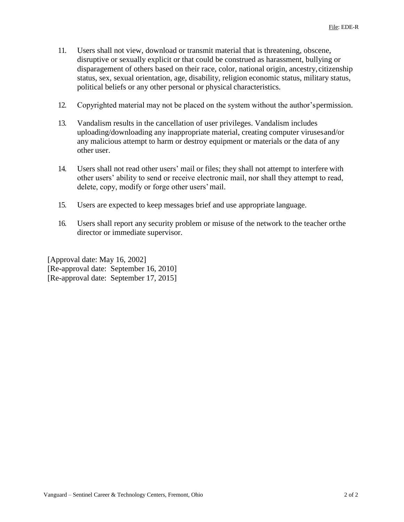- 11. Users shall not view, download or transmit material that is threatening, obscene, disruptive or sexually explicit or that could be construed as harassment, bullying or disparagement of others based on their race, color, national origin, ancestry,citizenship status, sex, sexual orientation, age, disability, religion economic status, military status, political beliefs or any other personal or physical characteristics.
- 12. Copyrighted material may not be placed on the system without the author'spermission.
- 13. Vandalism results in the cancellation of user privileges. Vandalism includes uploading/downloading any inappropriate material, creating computer virusesand/or any malicious attempt to harm or destroy equipment or materials or the data of any other user.
- 14. Users shall not read other users' mail or files; they shall not attempt to interfere with other users' ability to send or receive electronic mail, nor shall they attempt to read, delete, copy, modify or forge other users'mail.
- 15. Users are expected to keep messages brief and use appropriate language.
- 16. Users shall report any security problem or misuse of the network to the teacher orthe director or immediate supervisor.

[Approval date: May 16, 2002] [Re-approval date: September 16, 2010] [Re-approval date: September 17, 2015]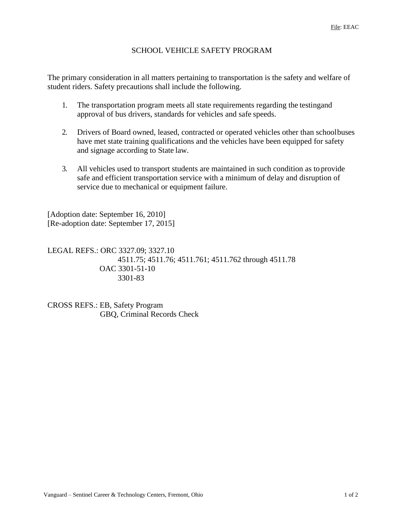## SCHOOL VEHICLE SAFETY PROGRAM

The primary consideration in all matters pertaining to transportation is the safety and welfare of student riders. Safety precautions shall include the following.

- 1. The transportation program meets all state requirements regarding the testingand approval of bus drivers, standards for vehicles and safe speeds.
- 2. Drivers of Board owned, leased, contracted or operated vehicles other than schoolbuses have met state training qualifications and the vehicles have been equipped for safety and signage according to State law.
- 3. All vehicles used to transport students are maintained in such condition as toprovide safe and efficient transportation service with a minimum of delay and disruption of service due to mechanical or equipment failure.

[Adoption date: September 16, 2010] [Re-adoption date: September 17, 2015]

LEGAL REFS.: ORC 3327.09; 3327.10 4511.75; 4511.76; 4511.761; 4511.762 through 4511.78 OAC 3301-51-10 3301-83

CROSS REFS.: EB, Safety Program GBQ, Criminal Records Check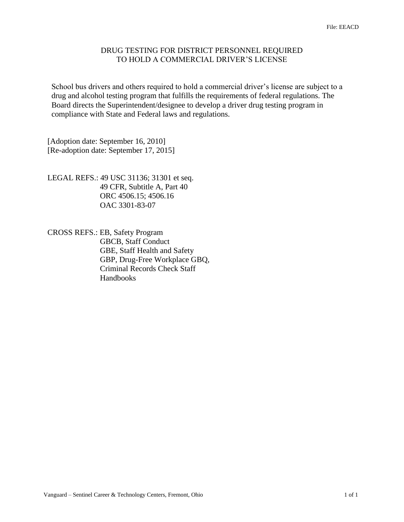#### DRUG TESTING FOR DISTRICT PERSONNEL REQUIRED TO HOLD A COMMERCIAL DRIVER'S LICENSE

School bus drivers and others required to hold a commercial driver's license are subject to a drug and alcohol testing program that fulfills the requirements of federal regulations. The Board directs the Superintendent/designee to develop a driver drug testing program in compliance with State and Federal laws and regulations.

[Adoption date: September 16, 2010] [Re-adoption date: September 17, 2015]

LEGAL REFS.: 49 USC 31136; 31301 et seq. 49 CFR, Subtitle A, Part 40 ORC 4506.15; 4506.16 OAC 3301-83-07

CROSS REFS.: EB, Safety Program GBCB, Staff Conduct GBE, Staff Health and Safety GBP, Drug-Free Workplace GBQ, Criminal Records Check Staff Handbooks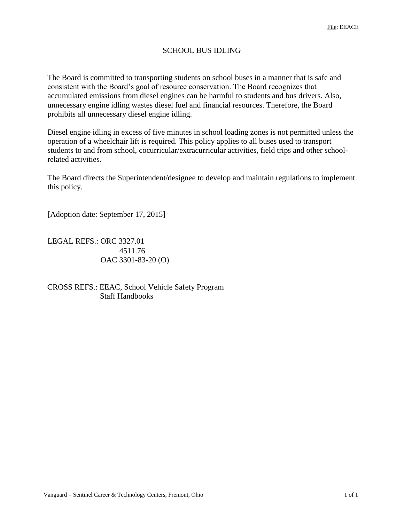# SCHOOL BUS IDLING

The Board is committed to transporting students on school buses in a manner that is safe and consistent with the Board's goal of resource conservation. The Board recognizes that accumulated emissions from diesel engines can be harmful to students and bus drivers. Also, unnecessary engine idling wastes diesel fuel and financial resources. Therefore, the Board prohibits all unnecessary diesel engine idling.

Diesel engine idling in excess of five minutes in school loading zones is not permitted unless the operation of a wheelchair lift is required. This policy applies to all buses used to transport students to and from school, cocurricular/extracurricular activities, field trips and other schoolrelated activities.

The Board directs the Superintendent/designee to develop and maintain regulations to implement this policy.

[Adoption date: September 17, 2015]

LEGAL REFS.: ORC 3327.01 4511.76 OAC 3301-83-20 (O)

CROSS REFS.: EEAC, School Vehicle Safety Program Staff Handbooks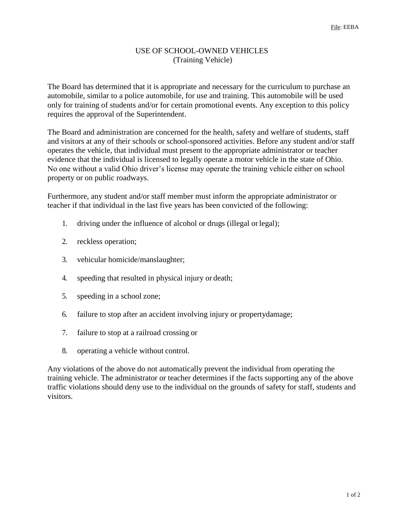### USE OF SCHOOL-OWNED VEHICLES (Training Vehicle)

The Board has determined that it is appropriate and necessary for the curriculum to purchase an automobile, similar to a police automobile, for use and training. This automobile will be used only for training of students and/or for certain promotional events. Any exception to this policy requires the approval of the Superintendent.

The Board and administration are concerned for the health, safety and welfare of students, staff and visitors at any of their schools or school-sponsored activities. Before any student and/or staff operates the vehicle, that individual must present to the appropriate administrator or teacher evidence that the individual is licensed to legally operate a motor vehicle in the state of Ohio. No one without a valid Ohio driver's license may operate the training vehicle either on school property or on public roadways.

Furthermore, any student and/or staff member must inform the appropriate administrator or teacher if that individual in the last five years has been convicted of the following:

- 1. driving under the influence of alcohol or drugs (illegal orlegal);
- 2. reckless operation;
- 3. vehicular homicide/manslaughter;
- 4. speeding that resulted in physical injury or death;
- 5. speeding in a school zone;
- 6. failure to stop after an accident involving injury or propertydamage;
- 7. failure to stop at a railroad crossing or
- 8. operating a vehicle without control.

Any violations of the above do not automatically prevent the individual from operating the training vehicle. The administrator or teacher determines if the facts supporting any of the above traffic violations should deny use to the individual on the grounds of safety for staff, students and visitors.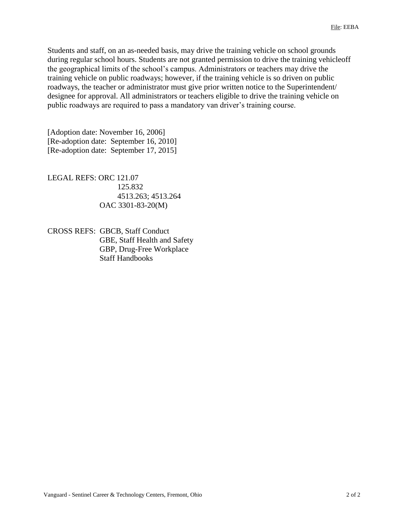Students and staff, on an as-needed basis, may drive the training vehicle on school grounds during regular school hours. Students are not granted permission to drive the training vehicleoff the geographical limits of the school's campus. Administrators or teachers may drive the training vehicle on public roadways; however, if the training vehicle is so driven on public roadways, the teacher or administrator must give prior written notice to the Superintendent/ designee for approval. All administrators or teachers eligible to drive the training vehicle on public roadways are required to pass a mandatory van driver's training course.

[Adoption date: November 16, 2006] [Re-adoption date: September 16, 2010] [Re-adoption date: September 17, 2015]

LEGAL REFS: ORC 121.07 125.832 4513.263; 4513.264 OAC 3301-83-20(M)

CROSS REFS: GBCB, Staff Conduct GBE, Staff Health and Safety GBP, Drug-Free Workplace Staff Handbooks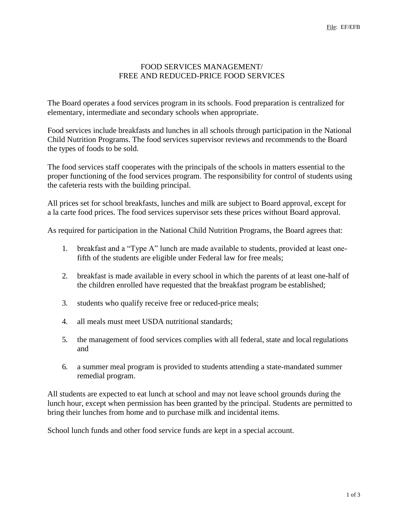## FOOD SERVICES MANAGEMENT/ FREE AND REDUCED-PRICE FOOD SERVICES

The Board operates a food services program in its schools. Food preparation is centralized for elementary, intermediate and secondary schools when appropriate.

Food services include breakfasts and lunches in all schools through participation in the National Child Nutrition Programs. The food services supervisor reviews and recommends to the Board the types of foods to be sold.

The food services staff cooperates with the principals of the schools in matters essential to the proper functioning of the food services program. The responsibility for control of students using the cafeteria rests with the building principal.

All prices set for school breakfasts, lunches and milk are subject to Board approval, except for a la carte food prices. The food services supervisor sets these prices without Board approval.

As required for participation in the National Child Nutrition Programs, the Board agrees that:

- 1. breakfast and a "Type A" lunch are made available to students, provided at least onefifth of the students are eligible under Federal law for free meals;
- 2. breakfast is made available in every school in which the parents of at least one-half of the children enrolled have requested that the breakfast program be established;
- 3. students who qualify receive free or reduced-price meals;
- 4. all meals must meet USDA nutritional standards;
- 5. the management of food services complies with all federal, state and local regulations and
- 6. a summer meal program is provided to students attending a state-mandated summer remedial program.

All students are expected to eat lunch at school and may not leave school grounds during the lunch hour, except when permission has been granted by the principal. Students are permitted to bring their lunches from home and to purchase milk and incidental items.

School lunch funds and other food service funds are kept in a special account.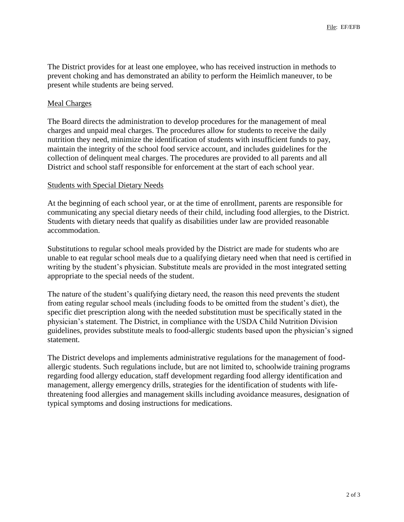The District provides for at least one employee, who has received instruction in methods to prevent choking and has demonstrated an ability to perform the Heimlich maneuver, to be present while students are being served.

## Meal Charges

The Board directs the administration to develop procedures for the management of meal charges and unpaid meal charges. The procedures allow for students to receive the daily nutrition they need, minimize the identification of students with insufficient funds to pay, maintain the integrity of the school food service account, and includes guidelines for the collection of delinquent meal charges. The procedures are provided to all parents and all District and school staff responsible for enforcement at the start of each school year.

### Students with Special Dietary Needs

At the beginning of each school year, or at the time of enrollment, parents are responsible for communicating any special dietary needs of their child, including food allergies, to the District. Students with dietary needs that qualify as disabilities under law are provided reasonable accommodation.

Substitutions to regular school meals provided by the District are made for students who are unable to eat regular school meals due to a qualifying dietary need when that need is certified in writing by the student's physician. Substitute meals are provided in the most integrated setting appropriate to the special needs of the student.

The nature of the student's qualifying dietary need, the reason this need prevents the student from eating regular school meals (including foods to be omitted from the student's diet), the specific diet prescription along with the needed substitution must be specifically stated in the physician's statement. The District, in compliance with the USDA Child Nutrition Division guidelines, provides substitute meals to food-allergic students based upon the physician's signed statement.

The District develops and implements administrative regulations for the management of foodallergic students. Such regulations include, but are not limited to, schoolwide training programs regarding food allergy education, staff development regarding food allergy identification and management, allergy emergency drills, strategies for the identification of students with lifethreatening food allergies and management skills including avoidance measures, designation of typical symptoms and dosing instructions for medications.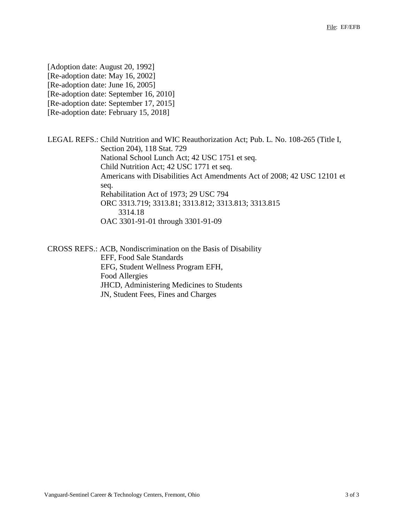[Adoption date: August 20, 1992] [Re-adoption date: May 16, 2002] [Re-adoption date: June 16, 2005] [Re-adoption date: September 16, 2010] [Re-adoption date: September 17, 2015] [Re-adoption date: February 15, 2018]

LEGAL REFS.: Child Nutrition and WIC Reauthorization Act; Pub. L. No. 108-265 (Title I, Section 204), 118 Stat. 729 National School Lunch Act; 42 USC 1751 et seq. Child Nutrition Act; 42 USC 1771 et seq. Americans with Disabilities Act Amendments Act of 2008; 42 USC 12101 et seq. Rehabilitation Act of 1973; 29 USC 794 ORC 3313.719; 3313.81; 3313.812; 3313.813; 3313.815 3314.18 OAC 3301-91-01 through 3301-91-09

CROSS REFS.: ACB, Nondiscrimination on the Basis of Disability EFF, Food Sale Standards EFG, Student Wellness Program EFH, Food Allergies JHCD, Administering Medicines to Students JN, Student Fees, Fines and Charges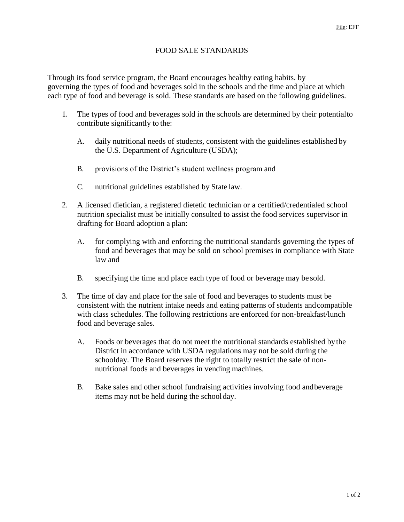# FOOD SALE STANDARDS

Through its food service program, the Board encourages healthy eating habits. by governing the types of food and beverages sold in the schools and the time and place at which each type of food and beverage is sold. These standards are based on the following guidelines.

- 1. The types of food and beverages sold in the schools are determined by their potentialto contribute significantly to the:
	- A. daily nutritional needs of students, consistent with the guidelines established by the U.S. Department of Agriculture (USDA);
	- B. provisions of the District's student wellness program and
	- C. nutritional guidelines established by State law.
- 2. A licensed dietician, a registered dietetic technician or a certified/credentialed school nutrition specialist must be initially consulted to assist the food services supervisor in drafting for Board adoption a plan:
	- A. for complying with and enforcing the nutritional standards governing the types of food and beverages that may be sold on school premises in compliance with State law and
	- B. specifying the time and place each type of food or beverage may be sold.
- 3. The time of day and place for the sale of food and beverages to students must be consistent with the nutrient intake needs and eating patterns of students andcompatible with class schedules. The following restrictions are enforced for non-breakfast/lunch food and beverage sales.
	- A. Foods or beverages that do not meet the nutritional standards established bythe District in accordance with USDA regulations may not be sold during the schoolday. The Board reserves the right to totally restrict the sale of nonnutritional foods and beverages in vending machines.
	- B. Bake sales and other school fundraising activities involving food andbeverage items may not be held during the school day.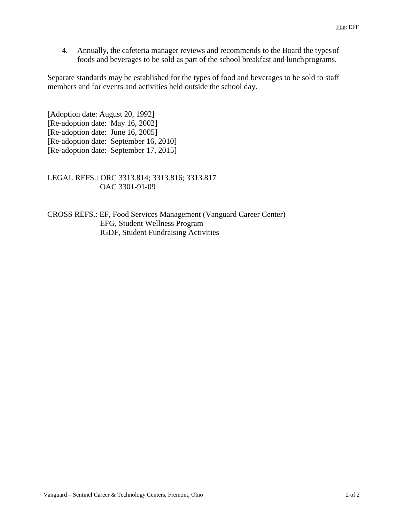4. Annually, the cafeteria manager reviews and recommends to the Board the typesof foods and beverages to be sold as part of the school breakfast and lunchprograms.

Separate standards may be established for the types of food and beverages to be sold to staff members and for events and activities held outside the school day.

[Adoption date: August 20, 1992] [Re-adoption date: May 16, 2002] [Re-adoption date: June 16, 2005] [Re-adoption date: September 16, 2010] [Re-adoption date: September 17, 2015]

LEGAL REFS.: ORC 3313.814; 3313.816; 3313.817 OAC 3301-91-09

CROSS REFS.: EF, Food Services Management (Vanguard Career Center) EFG, Student Wellness Program IGDF, Student Fundraising Activities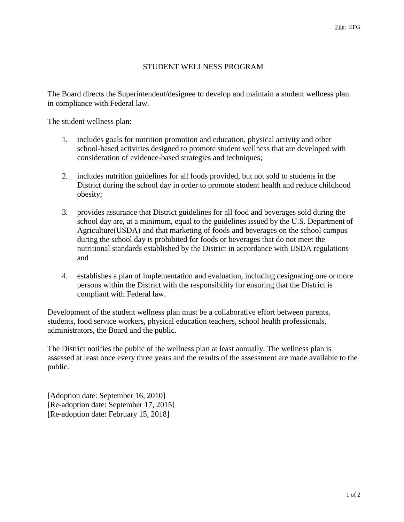#### STUDENT WELLNESS PROGRAM

The Board directs the Superintendent/designee to develop and maintain a student wellness plan in compliance with Federal law.

The student wellness plan:

- 1. includes goals for nutrition promotion and education, physical activity and other school-based activities designed to promote student wellness that are developed with consideration of evidence-based strategies and techniques;
- 2. includes nutrition guidelines for all foods provided, but not sold to students in the District during the school day in order to promote student health and reduce childhood obesity;
- 3. provides assurance that District guidelines for all food and beverages sold during the school day are, at a minimum, equal to the guidelines issued by the U.S. Department of Agriculture(USDA) and that marketing of foods and beverages on the school campus during the school day is prohibited for foods or beverages that do not meet the nutritional standards established by the District in accordance with USDA regulations and
- 4. establishes a plan of implementation and evaluation, including designating one or more persons within the District with the responsibility for ensuring that the District is compliant with Federal law.

Development of the student wellness plan must be a collaborative effort between parents, students, food service workers, physical education teachers, school health professionals, administrators, the Board and the public.

The District notifies the public of the wellness plan at least annually. The wellness plan is assessed at least once every three years and the results of the assessment are made available to the public.

[Adoption date: September 16, 2010] [Re-adoption date: September 17, 2015] [Re-adoption date: February 15, 2018]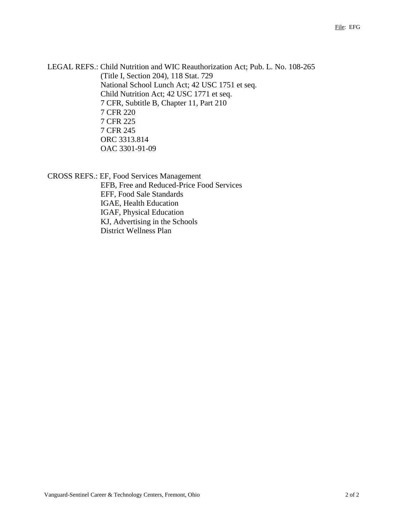LEGAL REFS.: Child Nutrition and WIC Reauthorization Act; Pub. L. No. 108-265 (Title I, Section 204), 118 Stat. 729 National School Lunch Act; 42 USC 1751 et seq. Child Nutrition Act; 42 USC 1771 et seq. 7 CFR, Subtitle B, Chapter 11, Part 210 7 CFR 220 7 CFR 225 7 CFR 245 ORC 3313.814 OAC 3301-91-09

CROSS REFS.: EF, Food Services Management EFB, Free and Reduced-Price Food Services EFF, Food Sale Standards IGAE, Health Education IGAF, Physical Education KJ, Advertising in the Schools District Wellness Plan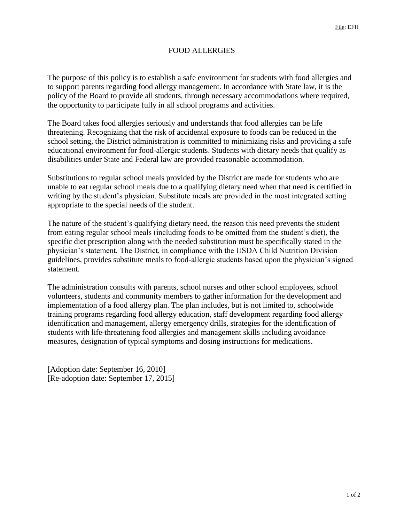# FOOD ALLERGIES

The purpose of this policy is to establish a safe environment for students with food allergies and to support parents regarding food allergy management. In accordance with State law, it is the policy of the Board to provide all students, through necessary accommodations where required, the opportunity to participate fully in all school programs and activities.

The Board takes food allergies seriously and understands that food allergies can be life threatening. Recognizing that the risk of accidental exposure to foods can be reduced in the school setting, the District administration is committed to minimizing risks and providing a safe educational environment for food-allergic students. Students with dietary needs that qualify as disabilities under State and Federal law are provided reasonable accommodation.

Substitutions to regular school meals provided by the District are made for students who are unable to eat regular school meals due to a qualifying dietary need when that need is certified in writing by the student's physician. Substitute meals are provided in the most integrated setting appropriate to the special needs of the student.

The nature of the student's qualifying dietary need, the reason this need prevents the student from eating regular school meals (including foods to be omitted from the student's diet), the specific diet prescription along with the needed substitution must be specifically stated in the physician's statement. The District, in compliance with the USDA Child Nutrition Division guidelines, provides substitute meals to food-allergic students based upon the physician's signed statement.

The administration consults with parents, school nurses and other school employees, school volunteers, students and community members to gather information for the development and implementation of a food allergy plan. The plan includes, but is not limited to, schoolwide training programs regarding food allergy education, staff development regarding food allergy identification and management, allergy emergency drills, strategies for the identification of students with life-threatening food allergies and management skills including avoidance measures, designation of typical symptoms and dosing instructions for medications.

[Adoption date: September 16, 2010] [Re-adoption date: September 17, 2015]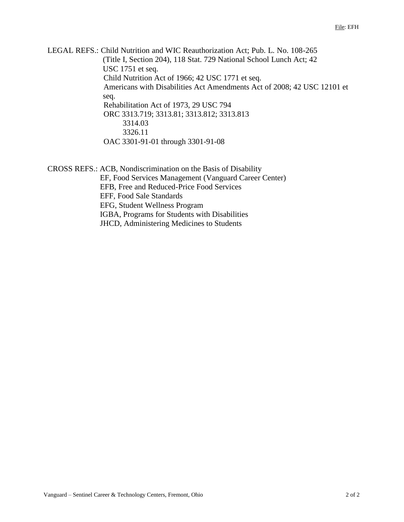LEGAL REFS.: Child Nutrition and WIC Reauthorization Act; Pub. L. No. 108-265 (Title I, Section 204), 118 Stat. 729 National School Lunch Act; 42 USC 1751 et seq. Child Nutrition Act of 1966; 42 USC 1771 et seq. Americans with Disabilities Act Amendments Act of 2008; 42 USC 12101 et seq. Rehabilitation Act of 1973, 29 USC 794 ORC 3313.719; 3313.81; 3313.812; 3313.813 3314.03 3326.11 OAC 3301-91-01 through 3301-91-08

CROSS REFS.: ACB, Nondiscrimination on the Basis of Disability EF, Food Services Management (Vanguard Career Center) EFB, Free and Reduced-Price Food Services EFF, Food Sale Standards EFG, Student Wellness Program IGBA, Programs for Students with Disabilities JHCD, Administering Medicines to Students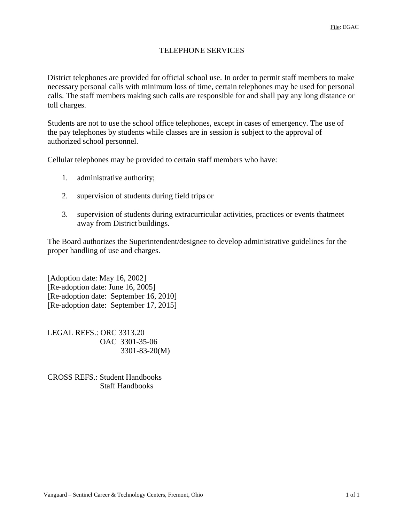#### TELEPHONE SERVICES

District telephones are provided for official school use. In order to permit staff members to make necessary personal calls with minimum loss of time, certain telephones may be used for personal calls. The staff members making such calls are responsible for and shall pay any long distance or toll charges.

Students are not to use the school office telephones, except in cases of emergency. The use of the pay telephones by students while classes are in session is subject to the approval of authorized school personnel.

Cellular telephones may be provided to certain staff members who have:

- 1. administrative authority;
- 2. supervision of students during field trips or
- 3. supervision of students during extracurricular activities, practices or events thatmeet away from District buildings.

The Board authorizes the Superintendent/designee to develop administrative guidelines for the proper handling of use and charges.

[Adoption date: May 16, 2002] [Re-adoption date: June 16, 2005] [Re-adoption date: September 16, 2010] [Re-adoption date: September 17, 2015]

LEGAL REFS.: ORC 3313.20 OAC 3301-35-06 3301-83-20(M)

CROSS REFS.: Student Handbooks Staff Handbooks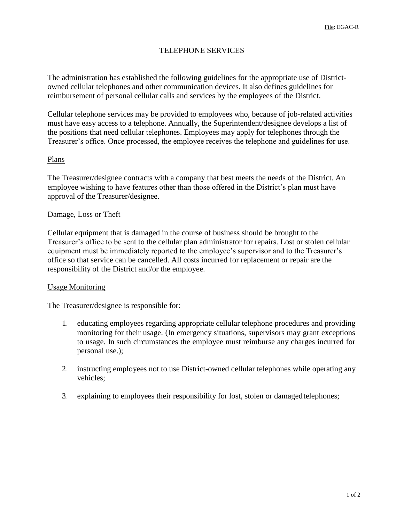## TELEPHONE SERVICES

The administration has established the following guidelines for the appropriate use of Districtowned cellular telephones and other communication devices. It also defines guidelines for reimbursement of personal cellular calls and services by the employees of the District.

Cellular telephone services may be provided to employees who, because of job-related activities must have easy access to a telephone. Annually, the Superintendent/designee develops a list of the positions that need cellular telephones. Employees may apply for telephones through the Treasurer's office. Once processed, the employee receives the telephone and guidelines for use.

#### Plans

The Treasurer/designee contracts with a company that best meets the needs of the District. An employee wishing to have features other than those offered in the District's plan must have approval of the Treasurer/designee.

#### Damage, Loss or Theft

Cellular equipment that is damaged in the course of business should be brought to the Treasurer's office to be sent to the cellular plan administrator for repairs. Lost or stolen cellular equipment must be immediately reported to the employee's supervisor and to the Treasurer's office so that service can be cancelled. All costs incurred for replacement or repair are the responsibility of the District and/or the employee.

#### Usage Monitoring

The Treasurer/designee is responsible for:

- 1. educating employees regarding appropriate cellular telephone procedures and providing monitoring for their usage. (In emergency situations, supervisors may grant exceptions to usage. In such circumstances the employee must reimburse any charges incurred for personal use.);
- 2. instructing employees not to use District-owned cellular telephones while operating any vehicles;
- 3. explaining to employees their responsibility for lost, stolen or damagedtelephones;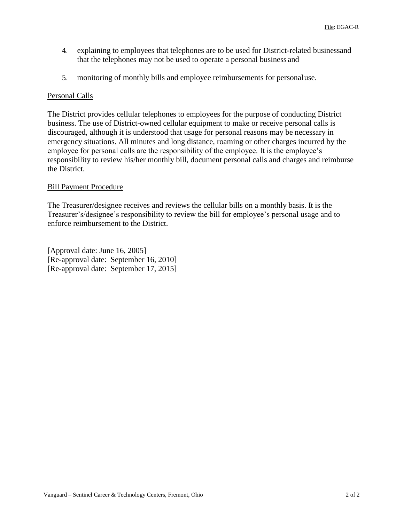- 4. explaining to employees that telephones are to be used for District-related businessand that the telephones may not be used to operate a personal business and
- 5. monitoring of monthly bills and employee reimbursements for personaluse.

### Personal Calls

The District provides cellular telephones to employees for the purpose of conducting District business. The use of District-owned cellular equipment to make or receive personal calls is discouraged, although it is understood that usage for personal reasons may be necessary in emergency situations. All minutes and long distance, roaming or other charges incurred by the employee for personal calls are the responsibility of the employee. It is the employee's responsibility to review his/her monthly bill, document personal calls and charges and reimburse the District.

### Bill Payment Procedure

The Treasurer/designee receives and reviews the cellular bills on a monthly basis. It is the Treasurer's/designee's responsibility to review the bill for employee's personal usage and to enforce reimbursement to the District.

[Approval date: June 16, 2005] [Re-approval date: September 16, 2010] [Re-approval date: September 17, 2015]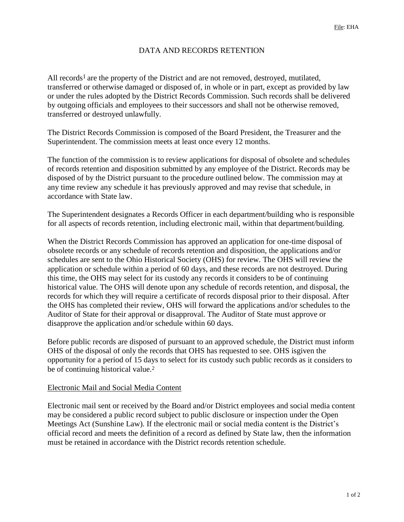# DATA AND RECORDS RETENTION

All records<sup>1</sup> are the property of the District and are not removed, destroyed, mutilated, transferred or otherwise damaged or disposed of, in whole or in part, except as provided by law or under the rules adopted by the District Records Commission. Such records shall be delivered by outgoing officials and employees to their successors and shall not be otherwise removed, transferred or destroyed unlawfully.

The District Records Commission is composed of the Board President, the Treasurer and the Superintendent. The commission meets at least once every 12 months.

The function of the commission is to review applications for disposal of obsolete and schedules of records retention and disposition submitted by any employee of the District. Records may be disposed of by the District pursuant to the procedure outlined below. The commission may at any time review any schedule it has previously approved and may revise that schedule, in accordance with State law.

The Superintendent designates a Records Officer in each department/building who is responsible for all aspects of records retention, including electronic mail, within that department/building.

When the District Records Commission has approved an application for one-time disposal of obsolete records or any schedule of records retention and disposition, the applications and/or schedules are sent to the Ohio Historical Society (OHS) for review. The OHS will review the application or schedule within a period of 60 days, and these records are not destroyed. During this time, the OHS may select for its custody any records it considers to be of continuing historical value. The OHS will denote upon any schedule of records retention, and disposal, the records for which they will require a certificate of records disposal prior to their disposal. After the OHS has completed their review, OHS will forward the applications and/or schedules to the Auditor of State for their approval or disapproval. The Auditor of State must approve or disapprove the application and/or schedule within 60 days.

Before public records are disposed of pursuant to an approved schedule, the District must inform OHS of the disposal of only the records that OHS has requested to see. OHS isgiven the opportunity for a period of 15 days to select for its custody such public records as it considers to be of continuing historical value.<sup>2</sup>

### Electronic Mail and Social Media Content

Electronic mail sent or received by the Board and/or District employees and social media content may be considered a public record subject to public disclosure or inspection under the Open Meetings Act (Sunshine Law). If the electronic mail or social media content is the District's official record and meets the definition of a record as defined by State law, then the information must be retained in accordance with the District records retention schedule.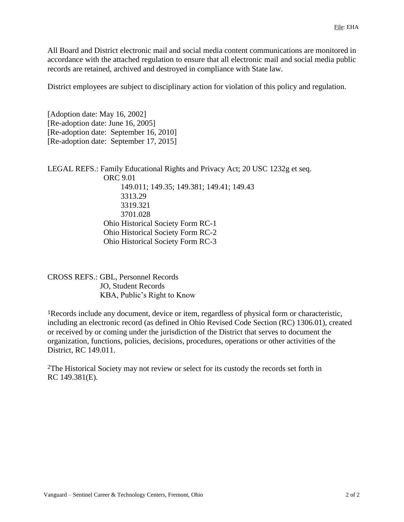All Board and District electronic mail and social media content communications are monitored in accordance with the attached regulation to ensure that all electronic mail and social media public records are retained, archived and destroyed in compliance with State law.

District employees are subject to disciplinary action for violation of this policy and regulation.

[Adoption date: May 16, 2002] [Re-adoption date: June 16, 2005] [Re-adoption date: September 16, 2010] [Re-adoption date: September 17, 2015]

LEGAL REFS.: Family Educational Rights and Privacy Act; 20 USC 1232g et seq. ORC 9.01 149.011; 149.35; 149.381; 149.41; 149.43 3313.29 3319.321 3701.028 Ohio Historical Society Form RC-1 Ohio Historical Society Form RC-2 Ohio Historical Society Form RC-3

CROSS REFS.: GBL, Personnel Records JO, Student Records KBA, Public's Right to Know

1Records include any document, device or item, regardless of physical form or characteristic, including an electronic record (as defined in Ohio Revised Code Section (RC) 1306.01), created or received by or coming under the jurisdiction of the District that serves to document the organization, functions, policies, decisions, procedures, operations or other activities of the District, RC 149.011.

2The Historical Society may not review or select for its custody the records set forth in RC 149.381(E).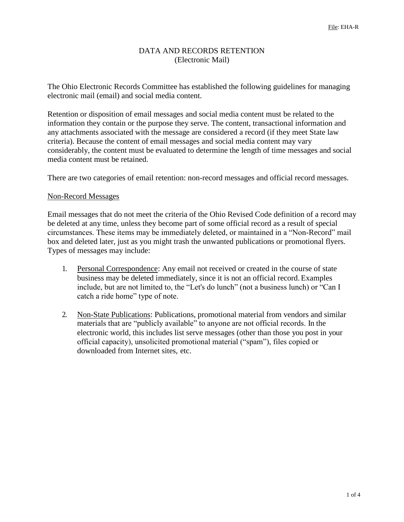### DATA AND RECORDS RETENTION (Electronic Mail)

The Ohio Electronic Records Committee has established the following guidelines for managing electronic mail (email) and social media content.

Retention or disposition of email messages and social media content must be related to the information they contain or the purpose they serve. The content, transactional information and any attachments associated with the message are considered a record (if they meet State law criteria). Because the content of email messages and social media content may vary considerably, the content must be evaluated to determine the length of time messages and social media content must be retained.

There are two categories of email retention: non-record messages and official record messages.

#### Non-Record Messages

Email messages that do not meet the criteria of the Ohio Revised Code definition of a record may be deleted at any time, unless they become part of some official record as a result of special circumstances. These items may be immediately deleted, or maintained in a "Non-Record" mail box and deleted later, just as you might trash the unwanted publications or promotional flyers. Types of messages may include:

- 1. Personal Correspondence: Any email not received or created in the course of state business may be deleted immediately, since it is not an official record.Examples include, but are not limited to, the "Let's do lunch" (not a business lunch) or "Can I catch a ride home" type of note.
- 2. Non-State Publications: Publications, promotional material from vendors and similar materials that are "publicly available" to anyone are not official records. In the electronic world, this includes list serve messages (other than those you post in your official capacity), unsolicited promotional material ("spam"), files copied or downloaded from Internet sites, etc.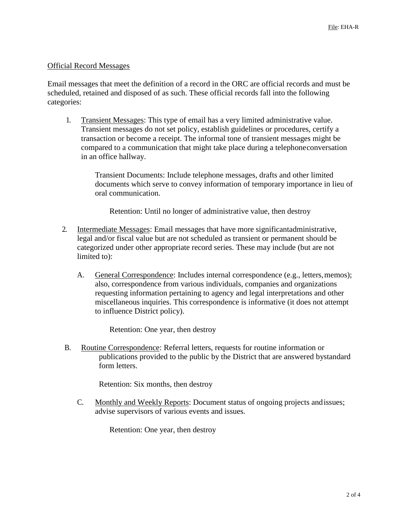#### Official Record Messages

Email messages that meet the definition of a record in the ORC are official records and must be scheduled, retained and disposed of as such. These official records fall into the following categories:

1. Transient Messages: This type of email has a very limited administrative value. Transient messages do not set policy, establish guidelines or procedures, certify a transaction or become a receipt. The informal tone of transient messages might be compared to a communication that might take place during a telephoneconversation in an office hallway.

> Transient Documents: Include telephone messages, drafts and other limited documents which serve to convey information of temporary importance in lieu of oral communication.

Retention: Until no longer of administrative value, then destroy

- 2. Intermediate Messages: Email messages that have more significantadministrative, legal and/or fiscal value but are not scheduled as transient or permanent should be categorized under other appropriate record series. These may include (but are not limited to):
	- A. General Correspondence: Includes internal correspondence (e.g., letters,memos); also, correspondence from various individuals, companies and organizations requesting information pertaining to agency and legal interpretations and other miscellaneous inquiries. This correspondence is informative (it does not attempt to influence District policy).

Retention: One year, then destroy

B. Routine Correspondence: Referral letters, requests for routine information or publications provided to the public by the District that are answered bystandard form letters.

Retention: Six months, then destroy

C. Monthly and Weekly Reports: Document status of ongoing projects andissues; advise supervisors of various events and issues.

Retention: One year, then destroy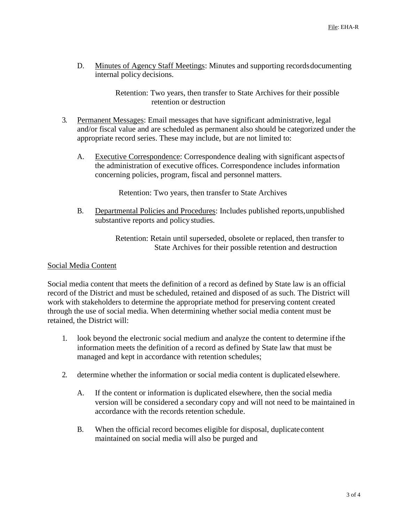D. Minutes of Agency Staff Meetings: Minutes and supporting recordsdocumenting internal policy decisions.

> Retention: Two years, then transfer to State Archives for their possible retention or destruction

- 3. Permanent Messages: Email messages that have significant administrative, legal and/or fiscal value and are scheduled as permanent also should be categorized under the appropriate record series. These may include, but are not limited to:
	- A. Executive Correspondence: Correspondence dealing with significant aspectsof the administration of executive offices. Correspondence includes information concerning policies, program, fiscal and personnel matters.

Retention: Two years, then transfer to State Archives

B. Departmental Policies and Procedures: Includes published reports,unpublished substantive reports and policy studies.

> Retention: Retain until superseded, obsolete or replaced, then transfer to State Archives for their possible retention and destruction

### Social Media Content

Social media content that meets the definition of a record as defined by State law is an official record of the District and must be scheduled, retained and disposed of as such. The District will work with stakeholders to determine the appropriate method for preserving content created through the use of social media. When determining whether social media content must be retained, the District will:

- 1. look beyond the electronic social medium and analyze the content to determine ifthe information meets the definition of a record as defined by State law that must be managed and kept in accordance with retention schedules;
- 2. determine whether the information or social media content is duplicated elsewhere.
	- A. If the content or information is duplicated elsewhere, then the social media version will be considered a secondary copy and will not need to be maintained in accordance with the records retention schedule.
	- B. When the official record becomes eligible for disposal, duplicatecontent maintained on social media will also be purged and